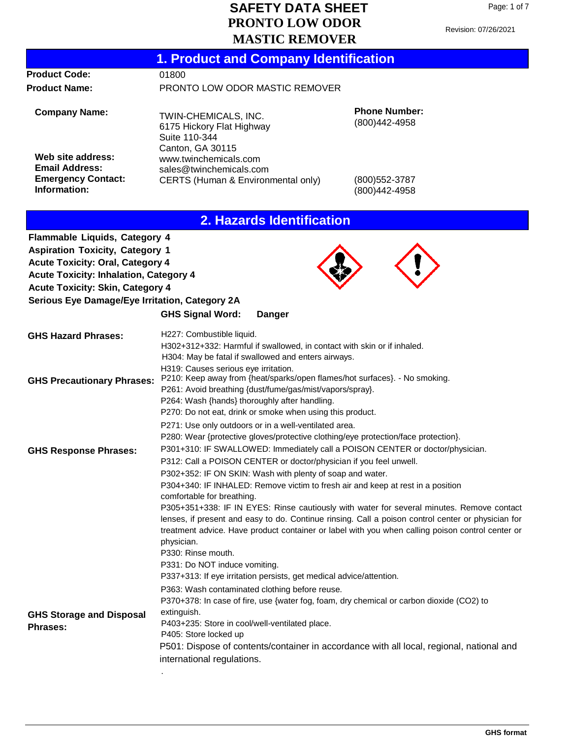Page: 1 of 7

|                                                                                                                                                                                                                                                                         | MASTIC REMOVER                                                                                                                                                                                                                                                                                                                                                                                                                                     |                                       |
|-------------------------------------------------------------------------------------------------------------------------------------------------------------------------------------------------------------------------------------------------------------------------|----------------------------------------------------------------------------------------------------------------------------------------------------------------------------------------------------------------------------------------------------------------------------------------------------------------------------------------------------------------------------------------------------------------------------------------------------|---------------------------------------|
|                                                                                                                                                                                                                                                                         | <b>1. Product and Company Identification</b>                                                                                                                                                                                                                                                                                                                                                                                                       |                                       |
| <b>Product Code:</b>                                                                                                                                                                                                                                                    | 01800                                                                                                                                                                                                                                                                                                                                                                                                                                              |                                       |
| <b>Product Name:</b>                                                                                                                                                                                                                                                    | PRONTO LOW ODOR MASTIC REMOVER                                                                                                                                                                                                                                                                                                                                                                                                                     |                                       |
| <b>Company Name:</b>                                                                                                                                                                                                                                                    | TWIN-CHEMICALS, INC.<br>6175 Hickory Flat Highway<br>Suite 110-344                                                                                                                                                                                                                                                                                                                                                                                 | <b>Phone Number:</b><br>(800)442-4958 |
| Web site address:<br><b>Email Address:</b><br><b>Emergency Contact:</b><br>Information:                                                                                                                                                                                 | Canton, GA 30115<br>www.twinchemicals.com<br>sales@twinchemicals.com<br>CERTS (Human & Environmental only)                                                                                                                                                                                                                                                                                                                                         | (800) 552-3787<br>(800) 442-4958      |
|                                                                                                                                                                                                                                                                         | 2. Hazards Identification                                                                                                                                                                                                                                                                                                                                                                                                                          |                                       |
| <b>Flammable Liquids, Category 4</b><br><b>Aspiration Toxicity, Category 1</b><br><b>Acute Toxicity: Oral, Category 4</b><br><b>Acute Toxicity: Inhalation, Category 4</b><br><b>Acute Toxicity: Skin, Category 4</b><br>Serious Eye Damage/Eye Irritation, Category 2A | <b>GHS Signal Word:</b><br><b>Danger</b>                                                                                                                                                                                                                                                                                                                                                                                                           |                                       |
| <b>GHS Hazard Phrases:</b>                                                                                                                                                                                                                                              | H227: Combustible liquid.<br>H302+312+332: Harmful if swallowed, in contact with skin or if inhaled.                                                                                                                                                                                                                                                                                                                                               |                                       |
| <b>GHS Precautionary Phrases:</b>                                                                                                                                                                                                                                       | H304: May be fatal if swallowed and enters airways.<br>H319: Causes serious eye irritation.<br>P210: Keep away from {heat/sparks/open flames/hot surfaces}. - No smoking.<br>P261: Avoid breathing {dust/fume/gas/mist/vapors/spray}.<br>P264: Wash {hands} thoroughly after handling.<br>P270: Do not eat, drink or smoke when using this product.                                                                                                |                                       |
| <b>GHS Response Phrases:</b>                                                                                                                                                                                                                                            | P271: Use only outdoors or in a well-ventilated area.<br>P280: Wear {protective gloves/protective clothing/eye protection/face protection}.<br>P301+310: IF SWALLOWED: Immediately call a POISON CENTER or doctor/physician.<br>P312: Call a POISON CENTER or doctor/physician if you feel unwell.<br>P302+352: IF ON SKIN: Wash with plenty of soap and water.<br>P304+340: IF INHALED: Remove victim to fresh air and keep at rest in a position |                                       |
|                                                                                                                                                                                                                                                                         | comfortable for breathing.<br>P305+351+338: IF IN EYES: Rinse cautiously with water for several minutes. Remove contact<br>lenses, if present and easy to do. Continue rinsing. Call a poison control center or physician for<br>treatment advice. Have product container or label with you when calling poison control center or<br>physician.<br>P330: Rinse mouth.                                                                              |                                       |

P337+313: If eye irritation persists, get medical advice/attention. P363: Wash contaminated clothing before reuse.

.

P331: Do NOT induce vomiting.

**GHS Storage and Disposal Phrases:** P370+378: In case of fire, use {water fog, foam, dry chemical or carbon dioxide (CO2) to extinguish. P403+235: Store in cool/well-ventilated place. P405: Store locked up P501: Dispose of contents/container in accordance with all local, regional, national and international regulations.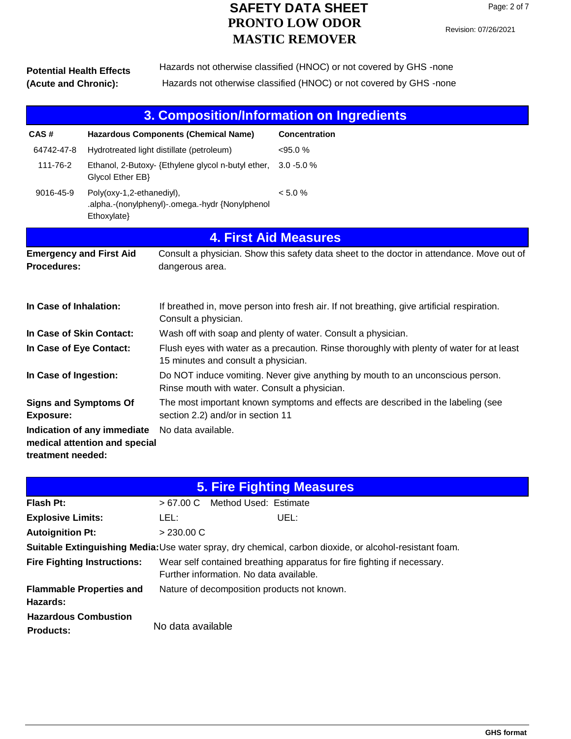#### **Potential Health Effects (Acute and Chronic):** Hazards not otherwise classified (HNOC) or not covered by GHS -none Hazards not otherwise classified (HNOC) or not covered by GHS -none

| 3. Composition/Information on Ingredients                                                |                                                                                             |                                                                                                                                  |                                                                                            |  |  |
|------------------------------------------------------------------------------------------|---------------------------------------------------------------------------------------------|----------------------------------------------------------------------------------------------------------------------------------|--------------------------------------------------------------------------------------------|--|--|
| CAS#                                                                                     |                                                                                             | <b>Hazardous Components (Chemical Name)</b>                                                                                      | <b>Concentration</b>                                                                       |  |  |
| 64742-47-8                                                                               | Hydrotreated light distillate (petroleum)                                                   |                                                                                                                                  | $< 95.0 \%$                                                                                |  |  |
| 111-76-2                                                                                 | Ethanol, 2-Butoxy- {Ethylene glycol n-butyl ether,<br>Glycol Ether EB}                      |                                                                                                                                  | $3.0 - 5.0 %$                                                                              |  |  |
| 9016-45-9                                                                                | Poly(oxy-1,2-ethanediyl),<br>.alpha.-(nonylphenyl)-.omega.-hydr {Nonylphenol<br>Ethoxylate} |                                                                                                                                  | < 5.0 %                                                                                    |  |  |
|                                                                                          |                                                                                             | <b>4. First Aid Measures</b>                                                                                                     |                                                                                            |  |  |
| <b>Emergency and First Aid</b><br><b>Procedures:</b>                                     |                                                                                             | dangerous area.                                                                                                                  | Consult a physician. Show this safety data sheet to the doctor in attendance. Move out of  |  |  |
| In Case of Inhalation:                                                                   |                                                                                             | Consult a physician.                                                                                                             | If breathed in, move person into fresh air. If not breathing, give artificial respiration. |  |  |
| Wash off with soap and plenty of water. Consult a physician.<br>In Case of Skin Contact: |                                                                                             |                                                                                                                                  |                                                                                            |  |  |
| In Case of Eye Contact:                                                                  |                                                                                             | Flush eyes with water as a precaution. Rinse thoroughly with plenty of water for at least<br>15 minutes and consult a physician. |                                                                                            |  |  |
| In Case of Ingestion:                                                                    |                                                                                             | Do NOT induce vomiting. Never give anything by mouth to an unconscious person.<br>Rinse mouth with water. Consult a physician.   |                                                                                            |  |  |
| <b>Signs and Symptoms Of</b><br><b>Exposure:</b>                                         |                                                                                             | The most important known symptoms and effects are described in the labeling (see<br>section 2.2) and/or in section 11            |                                                                                            |  |  |
| treatment needed:                                                                        | Indication of any immediate<br>medical attention and special                                | No data available.                                                                                                               |                                                                                            |  |  |

| <b>5. Fire Fighting Measures</b>                                                                        |                                                                                                                    |  |  |  |
|---------------------------------------------------------------------------------------------------------|--------------------------------------------------------------------------------------------------------------------|--|--|--|
| Flash Pt:                                                                                               | Method Used: Estimate<br>>67.00 C                                                                                  |  |  |  |
| <b>Explosive Limits:</b>                                                                                | LEL:<br>UEL:                                                                                                       |  |  |  |
| <b>Autoignition Pt:</b>                                                                                 | > 230.00 C                                                                                                         |  |  |  |
| Suitable Extinguishing Media: Use water spray, dry chemical, carbon dioxide, or alcohol-resistant foam. |                                                                                                                    |  |  |  |
| <b>Fire Fighting Instructions:</b>                                                                      | Wear self contained breathing apparatus for fire fighting if necessary.<br>Further information. No data available. |  |  |  |
| <b>Flammable Properties and</b><br>Hazards:                                                             | Nature of decomposition products not known.                                                                        |  |  |  |
| <b>Hazardous Combustion</b><br><b>Products:</b>                                                         | No data available                                                                                                  |  |  |  |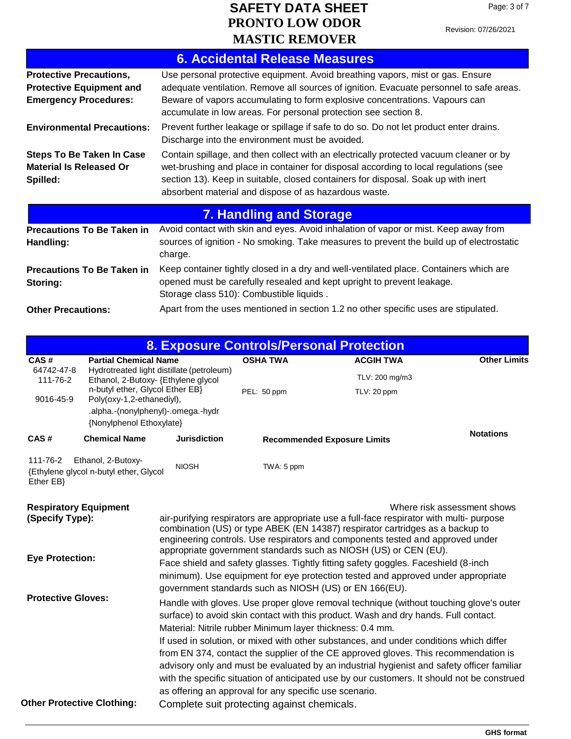Revision: 07/26/2021

|                                                                                                   | <b>6. Accidental Release Measures</b>                                                                                                                                                                                                                                                                                        |  |  |  |
|---------------------------------------------------------------------------------------------------|------------------------------------------------------------------------------------------------------------------------------------------------------------------------------------------------------------------------------------------------------------------------------------------------------------------------------|--|--|--|
| <b>Protective Precautions,</b><br><b>Protective Equipment and</b><br><b>Emergency Procedures:</b> | Use personal protective equipment. Avoid breathing vapors, mist or gas. Ensure<br>adequate ventilation. Remove all sources of ignition. Evacuate personnel to safe areas.<br>Beware of vapors accumulating to form explosive concentrations. Vapours can<br>accumulate in low areas. For personal protection see section 8.  |  |  |  |
| <b>Environmental Precautions:</b>                                                                 | Prevent further leakage or spillage if safe to do so. Do not let product enter drains.<br>Discharge into the environment must be avoided.                                                                                                                                                                                    |  |  |  |
| <b>Steps To Be Taken In Case</b><br><b>Material Is Released Or</b><br>Spilled:                    | Contain spillage, and then collect with an electrically protected vacuum cleaner or by<br>wet-brushing and place in container for disposal according to local regulations (see<br>section 13). Keep in suitable, closed containers for disposal. Soak up with inert<br>absorbent material and dispose of as hazardous waste. |  |  |  |
|                                                                                                   | <b>7. Handling and Storage</b>                                                                                                                                                                                                                                                                                               |  |  |  |
| <b>Precautions To Be Taken in</b><br>Handling:                                                    | Avoid contact with skin and eyes. Avoid inhalation of vapor or mist. Keep away from<br>sources of ignition - No smoking. Take measures to prevent the build up of electrostatic<br>charge.                                                                                                                                   |  |  |  |
| <b>Precautions To Be Taken in</b><br>Storing:                                                     | Keep container tightly closed in a dry and well-ventilated place. Containers which are<br>opened must be carefully resealed and kept upright to prevent leakage.<br>Storage class 510): Combustible liquids.                                                                                                                 |  |  |  |
| <b>Other Precautions:</b>                                                                         | Apart from the uses mentioned in section 1.2 no other specific uses are stipulated.                                                                                                                                                                                                                                          |  |  |  |
| <b>8. Exposure Controls/Personal Protection</b>                                                   |                                                                                                                                                                                                                                                                                                                              |  |  |  |

|                                                                           |                                                              |                                                                                  |                                                           | <u>8. Exposure Controls/Personal Protection</u>                                                                                                                                                                                                                                                                                 |                             |
|---------------------------------------------------------------------------|--------------------------------------------------------------|----------------------------------------------------------------------------------|-----------------------------------------------------------|---------------------------------------------------------------------------------------------------------------------------------------------------------------------------------------------------------------------------------------------------------------------------------------------------------------------------------|-----------------------------|
| <b>Partial Chemical Name</b><br>CAS#<br>64742-47-8                        |                                                              |                                                                                  | <b>OSHA TWA</b>                                           |                                                                                                                                                                                                                                                                                                                                 | <b>Other Limits</b>         |
| 111-76-2                                                                  |                                                              | Hydrotreated light distillate (petroleum)<br>Ethanol, 2-Butoxy- {Ethylene glycol |                                                           | TLV: 200 mg/m3                                                                                                                                                                                                                                                                                                                  |                             |
| n-butyl ether, Glycol Ether EB}<br>Poly(oxy-1,2-ethanediyl),<br>9016-45-9 |                                                              | .alpha.-(nonylphenyl)-.omega.-hydr                                               | PEL: 50 ppm                                               | TLV: 20 ppm                                                                                                                                                                                                                                                                                                                     |                             |
|                                                                           | {Nonylphenol Ethoxylate}                                     |                                                                                  |                                                           |                                                                                                                                                                                                                                                                                                                                 |                             |
| CAS#                                                                      | <b>Chemical Name</b>                                         | <b>Jurisdiction</b>                                                              |                                                           | <b>Recommended Exposure Limits</b>                                                                                                                                                                                                                                                                                              | <b>Notations</b>            |
| 111-76-2<br>Ether EB}                                                     | Ethanol, 2-Butoxy-<br>{Ethylene glycol n-butyl ether, Glycol | <b>NIOSH</b>                                                                     | TWA: 5 ppm                                                |                                                                                                                                                                                                                                                                                                                                 |                             |
| <b>Respiratory Equipment</b><br>(Specify Type):                           |                                                              |                                                                                  |                                                           | air-purifying respirators are appropriate use a full-face respirator with multi- purpose<br>combination (US) or type ABEK (EN 14387) respirator cartridges as a backup to<br>engineering controls. Use respirators and components tested and approved under<br>appropriate government standards such as NIOSH (US) or CEN (EU). | Where risk assessment shows |
| <b>Eye Protection:</b>                                                    |                                                              |                                                                                  |                                                           | Face shield and safety glasses. Tightly fitting safety goggles. Faceshield (8-inch<br>minimum). Use equipment for eye protection tested and approved under appropriate<br>government standards such as NIOSH (US) or EN 166(EU).                                                                                                |                             |
| <b>Protective Gloves:</b>                                                 |                                                              |                                                                                  | Material: Nitrile rubber Minimum layer thickness: 0.4 mm. | Handle with gloves. Use proper glove removal technique (without touching glove's outer<br>surface) to avoid skin contact with this product. Wash and dry hands. Full contact.                                                                                                                                                   |                             |
|                                                                           |                                                              |                                                                                  |                                                           | If used in solution, or mixed with other substances, and under conditions which differ<br>from EN 374, contact the supplier of the CE approved gloves. This recommendation is                                                                                                                                                   |                             |
|                                                                           |                                                              |                                                                                  |                                                           | advisory only and must be evaluated by an industrial hygienist and safety officer familiar<br>with the specific situation of anticipated use by our customers. It should not be construed                                                                                                                                       |                             |
|                                                                           |                                                              |                                                                                  | as offering an approval for any specific use scenario.    |                                                                                                                                                                                                                                                                                                                                 |                             |
| <b>Other Protective Clothing:</b>                                         |                                                              |                                                                                  | Complete suit protecting against chemicals.               |                                                                                                                                                                                                                                                                                                                                 |                             |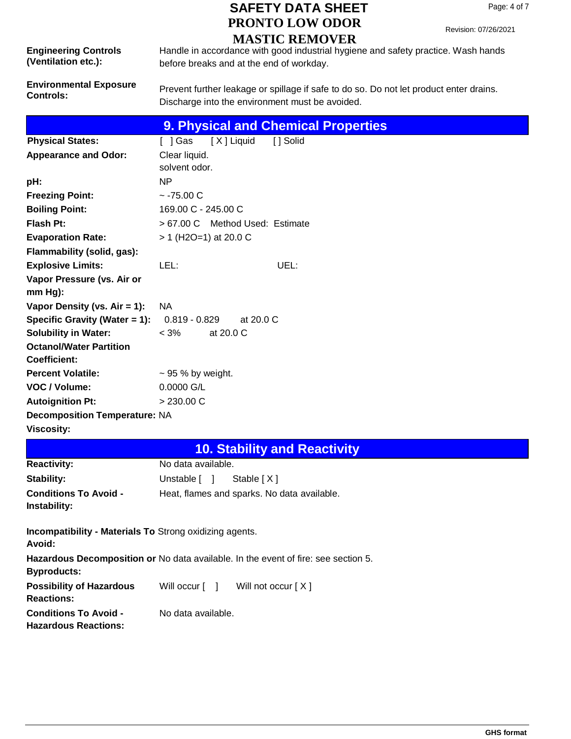Revision: 07/26/2021

| MAD LIC KENIO VER           |                                                                                   |  |  |  |
|-----------------------------|-----------------------------------------------------------------------------------|--|--|--|
| <b>Engineering Controls</b> | Handle in accordance with good industrial hygiene and safety practice. Wash hands |  |  |  |
| (Ventilation etc.):         | before breaks and at the end of workday.                                          |  |  |  |

**Environmental Exposure** 

Prevent further leakage or spillage if safe to do so. Do not let product enter drains. Discharge into the environment must be avoided.

**9. Physical and Chemical Properties**

| <b>Physical States:</b>                                        |                        | []Gas [X]Liquid                 | [ ] Solid |
|----------------------------------------------------------------|------------------------|---------------------------------|-----------|
| <b>Appearance and Odor:</b>                                    | Clear liquid.          |                                 |           |
|                                                                | solvent odor.          |                                 |           |
| pH:                                                            | ΝP                     |                                 |           |
| <b>Freezing Point:</b>                                         | $~-75.00$ C            |                                 |           |
| <b>Boiling Point:</b>                                          | 169.00 C - 245.00 C    |                                 |           |
| Flash Pt:                                                      |                        | > 67.00 C Method Used: Estimate |           |
| <b>Evaporation Rate:</b>                                       | > 1 (H2O=1) at 20.0 C  |                                 |           |
| Flammability (solid, gas):                                     |                        |                                 |           |
| <b>Explosive Limits:</b>                                       | LEL:                   |                                 | UEL:      |
| Vapor Pressure (vs. Air or                                     |                        |                                 |           |
| $mm Hg$ :                                                      |                        |                                 |           |
| Vapor Density (vs. Air = 1):                                   | <b>NA</b>              |                                 |           |
| <b>Specific Gravity (Water = 1):</b> $0.819 - 0.829$ at 20.0 C |                        |                                 |           |
| <b>Solubility in Water:</b>                                    | $<$ 3%                 | at 20.0 C                       |           |
| <b>Octanol/Water Partition</b>                                 |                        |                                 |           |
| <b>Coefficient:</b>                                            |                        |                                 |           |
| <b>Percent Volatile:</b>                                       | $\sim$ 95 % by weight. |                                 |           |
| VOC / Volume:                                                  | 0.0000 G/L             |                                 |           |
| <b>Autoignition Pt:</b>                                        | $> 230.00 \text{ C}$   |                                 |           |
| <b>Decomposition Temperature: NA</b>                           |                        |                                 |           |
| <b>Viscosity:</b>                                              |                        |                                 |           |

| <b>10. Stability and Reactivity</b> |
|-------------------------------------|
|                                     |

| <b>Reactivity:</b>                                                       | No data available.                                                                 |  |  |  |  |
|--------------------------------------------------------------------------|------------------------------------------------------------------------------------|--|--|--|--|
| <b>Stability:</b>                                                        | Unstable [ ]<br>Stable [X]                                                         |  |  |  |  |
| <b>Conditions To Avoid -</b><br>Instability:                             | Heat, flames and sparks. No data available.                                        |  |  |  |  |
| <b>Incompatibility - Materials To Strong oxidizing agents.</b><br>Avoid: |                                                                                    |  |  |  |  |
| <b>Byproducts:</b>                                                       | Hazardous Decomposition or No data available. In the event of fire: see section 5. |  |  |  |  |
| <b>Possibility of Hazardous</b><br><b>Reactions:</b>                     | Will occur [ ]<br>Will not occur [X]                                               |  |  |  |  |
| <b>Conditions To Avoid -</b><br><b>Hazardous Reactions:</b>              | No data available.                                                                 |  |  |  |  |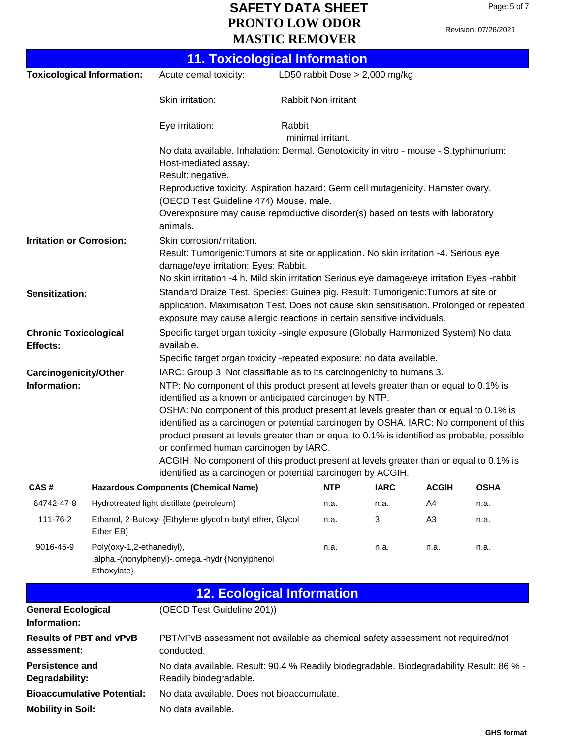|                                                                                                                                                                                                                                                                                                                                                                                                                                                                                                                                                                                                                                                                                                                                                                 |                                                                                                                                                                                                                                                                                                 | <b>11. Toxicological Information</b>                                                                                                                                        |                                            |                     |                                  |                |             |  |
|-----------------------------------------------------------------------------------------------------------------------------------------------------------------------------------------------------------------------------------------------------------------------------------------------------------------------------------------------------------------------------------------------------------------------------------------------------------------------------------------------------------------------------------------------------------------------------------------------------------------------------------------------------------------------------------------------------------------------------------------------------------------|-------------------------------------------------------------------------------------------------------------------------------------------------------------------------------------------------------------------------------------------------------------------------------------------------|-----------------------------------------------------------------------------------------------------------------------------------------------------------------------------|--------------------------------------------|---------------------|----------------------------------|----------------|-------------|--|
| <b>Toxicological Information:</b>                                                                                                                                                                                                                                                                                                                                                                                                                                                                                                                                                                                                                                                                                                                               |                                                                                                                                                                                                                                                                                                 | Acute demal toxicity:                                                                                                                                                       |                                            |                     | LD50 rabbit Dose $> 2,000$ mg/kg |                |             |  |
|                                                                                                                                                                                                                                                                                                                                                                                                                                                                                                                                                                                                                                                                                                                                                                 |                                                                                                                                                                                                                                                                                                 | Skin irritation:                                                                                                                                                            |                                            | Rabbit Non irritant |                                  |                |             |  |
|                                                                                                                                                                                                                                                                                                                                                                                                                                                                                                                                                                                                                                                                                                                                                                 |                                                                                                                                                                                                                                                                                                 | Eye irritation:                                                                                                                                                             | Rabbit<br>minimal irritant.                |                     |                                  |                |             |  |
|                                                                                                                                                                                                                                                                                                                                                                                                                                                                                                                                                                                                                                                                                                                                                                 |                                                                                                                                                                                                                                                                                                 | No data available. Inhalation: Dermal. Genotoxicity in vitro - mouse - S.typhimurium:<br>Host-mediated assay.                                                               |                                            |                     |                                  |                |             |  |
|                                                                                                                                                                                                                                                                                                                                                                                                                                                                                                                                                                                                                                                                                                                                                                 |                                                                                                                                                                                                                                                                                                 | Result: negative.<br>Reproductive toxicity. Aspiration hazard: Germ cell mutagenicity. Hamster ovary.<br>(OECD Test Guideline 474) Mouse. male.                             |                                            |                     |                                  |                |             |  |
|                                                                                                                                                                                                                                                                                                                                                                                                                                                                                                                                                                                                                                                                                                                                                                 |                                                                                                                                                                                                                                                                                                 | Overexposure may cause reproductive disorder(s) based on tests with laboratory<br>animals.                                                                                  |                                            |                     |                                  |                |             |  |
|                                                                                                                                                                                                                                                                                                                                                                                                                                                                                                                                                                                                                                                                                                                                                                 | <b>Irritation or Corrosion:</b><br>Skin corrosion/irritation.<br>Result: Tumorigenic: Tumors at site or application. No skin irritation -4. Serious eye<br>damage/eye irritation: Eyes: Rabbit.<br>No skin irritation -4 h. Mild skin irritation Serious eye damage/eye irritation Eyes -rabbit |                                                                                                                                                                             |                                            |                     |                                  |                |             |  |
|                                                                                                                                                                                                                                                                                                                                                                                                                                                                                                                                                                                                                                                                                                                                                                 | Standard Draize Test. Species: Guinea pig. Result: Tumorigenic: Tumors at site or<br>Sensitization:<br>application. Maximisation Test. Does not cause skin sensitisation. Prolonged or repeated<br>exposure may cause allergic reactions in certain sensitive individuals.                      |                                                                                                                                                                             |                                            |                     |                                  |                |             |  |
| <b>Chronic Toxicological</b><br>Effects:                                                                                                                                                                                                                                                                                                                                                                                                                                                                                                                                                                                                                                                                                                                        |                                                                                                                                                                                                                                                                                                 | Specific target organ toxicity -single exposure (Globally Harmonized System) No data<br>available.<br>Specific target organ toxicity -repeated exposure: no data available. |                                            |                     |                                  |                |             |  |
| IARC: Group 3: Not classifiable as to its carcinogenicity to humans 3.<br><b>Carcinogenicity/Other</b><br>Information:<br>NTP: No component of this product present at levels greater than or equal to 0.1% is<br>identified as a known or anticipated carcinogen by NTP.<br>OSHA: No component of this product present at levels greater than or equal to 0.1% is<br>identified as a carcinogen or potential carcinogen by OSHA. IARC: No component of this<br>product present at levels greater than or equal to 0.1% is identified as probable, possible<br>or confirmed human carcinogen by IARC.<br>ACGIH: No component of this product present at levels greater than or equal to 0.1% is<br>identified as a carcinogen or potential carcinogen by ACGIH. |                                                                                                                                                                                                                                                                                                 |                                                                                                                                                                             |                                            |                     |                                  |                |             |  |
| CAS#                                                                                                                                                                                                                                                                                                                                                                                                                                                                                                                                                                                                                                                                                                                                                            |                                                                                                                                                                                                                                                                                                 | <b>Hazardous Components (Chemical Name)</b>                                                                                                                                 |                                            | <b>NTP</b>          | <b>IARC</b>                      | <b>ACGIH</b>   | <b>OSHA</b> |  |
| 64742-47-8                                                                                                                                                                                                                                                                                                                                                                                                                                                                                                                                                                                                                                                                                                                                                      |                                                                                                                                                                                                                                                                                                 | Hydrotreated light distillate (petroleum)                                                                                                                                   |                                            | n.a.                | n.a.                             | A4             | n.a.        |  |
| 111-76-2                                                                                                                                                                                                                                                                                                                                                                                                                                                                                                                                                                                                                                                                                                                                                        | Ether EB}                                                                                                                                                                                                                                                                                       | Ethanol, 2-Butoxy- {Ethylene glycol n-butyl ether, Glycol                                                                                                                   |                                            | n.a.                | 3                                | A <sub>3</sub> | n.a.        |  |
| 9016-45-9                                                                                                                                                                                                                                                                                                                                                                                                                                                                                                                                                                                                                                                                                                                                                       | Poly(oxy-1,2-ethanediyl),<br>n.a.<br>n.a.<br>n.a.<br>n.a.<br>.alpha.-(nonylphenyl)-.omega.-hydr {Nonylphenol<br>Ethoxylate}                                                                                                                                                                     |                                                                                                                                                                             |                                            |                     |                                  |                |             |  |
|                                                                                                                                                                                                                                                                                                                                                                                                                                                                                                                                                                                                                                                                                                                                                                 |                                                                                                                                                                                                                                                                                                 | <b>12. Ecological Information</b>                                                                                                                                           |                                            |                     |                                  |                |             |  |
| <b>General Ecological</b><br>Information:                                                                                                                                                                                                                                                                                                                                                                                                                                                                                                                                                                                                                                                                                                                       |                                                                                                                                                                                                                                                                                                 | (OECD Test Guideline 201))                                                                                                                                                  |                                            |                     |                                  |                |             |  |
| assessment:                                                                                                                                                                                                                                                                                                                                                                                                                                                                                                                                                                                                                                                                                                                                                     | <b>Results of PBT and vPvB</b><br>PBT/vPvB assessment not available as chemical safety assessment not required/not<br>conducted.                                                                                                                                                                |                                                                                                                                                                             |                                            |                     |                                  |                |             |  |
| <b>Persistence and</b><br>Degradability:                                                                                                                                                                                                                                                                                                                                                                                                                                                                                                                                                                                                                                                                                                                        |                                                                                                                                                                                                                                                                                                 | No data available. Result: 90.4 % Readily biodegradable. Biodegradability Result: 86 % -<br>Readily biodegradable.                                                          |                                            |                     |                                  |                |             |  |
| <b>Bioaccumulative Potential:</b>                                                                                                                                                                                                                                                                                                                                                                                                                                                                                                                                                                                                                                                                                                                               |                                                                                                                                                                                                                                                                                                 |                                                                                                                                                                             | No data available. Does not bioaccumulate. |                     |                                  |                |             |  |
| <b>Mobility in Soil:</b>                                                                                                                                                                                                                                                                                                                                                                                                                                                                                                                                                                                                                                                                                                                                        |                                                                                                                                                                                                                                                                                                 | No data available.                                                                                                                                                          |                                            |                     |                                  |                |             |  |